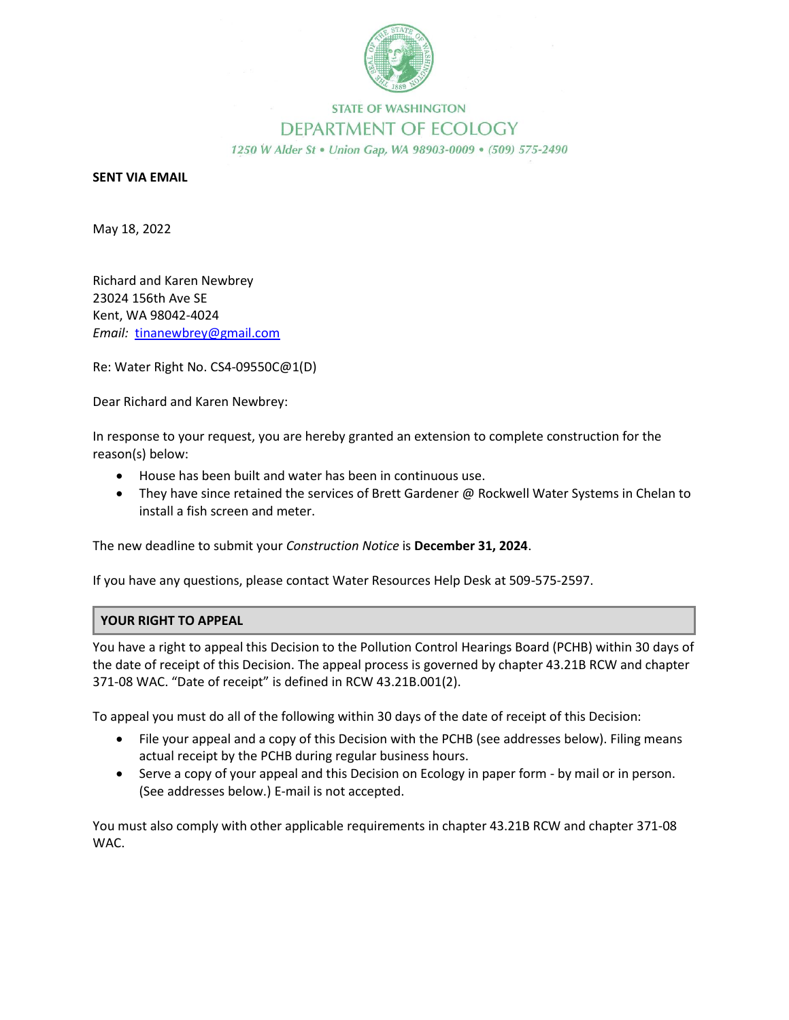

## **STATE OF WASHINGTON** DEPARTMENT OF ECOLOGY 1250 W Alder St . Union Gap, WA 98903-0009 . (509) 575-2490

## **SENT VIA EMAIL**

May 18, 2022

Richard and Karen Newbrey 23024 156th Ave SE Kent, WA 98042-4024 *Email:* tinanewbrey@gmail.com

Re: Water Right No. CS4-09550C@1(D)

Dear Richard and Karen Newbrey:

In response to your request, you are hereby granted an extension to complete construction for the reason(s) below:

- House has been built and water has been in continuous use.
- They have since retained the services of Brett Gardener @ Rockwell Water Systems in Chelan to install a fish screen and meter.

The new deadline to submit your *Construction Notice* is **December 31, 2024**.

If you have any questions, please contact Water Resources Help Desk at 509-575-2597.

## **YOUR RIGHT TO APPEAL**

You have a right to appeal this Decision to the Pollution Control Hearings Board (PCHB) within 30 days of the date of receipt of this Decision. The appeal process is governed by chapter 43.21B RCW and chapter 371-08 WAC. "Date of receipt" is defined in RCW 43.21B.001(2).

To appeal you must do all of the following within 30 days of the date of receipt of this Decision:

- File your appeal and a copy of this Decision with the PCHB (see addresses below). Filing means actual receipt by the PCHB during regular business hours.
- Serve a copy of your appeal and this Decision on Ecology in paper form by mail or in person. (See addresses below.) E-mail is not accepted.

You must also comply with other applicable requirements in chapter 43.21B RCW and chapter 371-08 WAC.